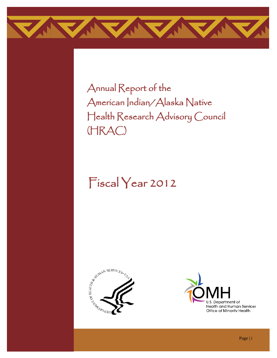

Annual Report of the American Indian/Alaska Native Health Research Advisory Council (HRAC)

# Fiscal Year 2012



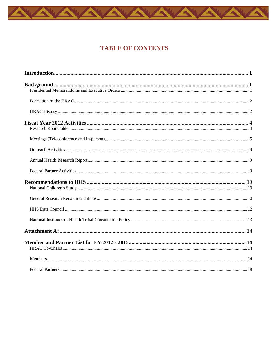# **TABLE OF CONTENTS**

A

AAAAAAA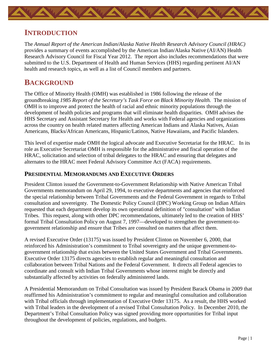## <span id="page-2-0"></span>**INTRODUCTION**

The *Annual Report of the American Indian/Alaska Native Health Research Advisory Council (HRAC)*  provides a summary of events accomplished by the American Indian/Alaska Native (AI/AN) Health Research Advisory Council for Fiscal Year 2012. The report also includes recommendations that were submitted to the U.S. Department of Health and Human Services (HHS) regarding pertinent AI/AN health and research topics, as well as a list of Council members and partners.

# <span id="page-2-1"></span>**BACKGROUND**

The Office of Minority Health (OMH) was established in 1986 following the release of the groundbreaking *1985 Report of the Secretary's Task Force on Black Minority Health.* The mission of OMH is to improve and protect the health of racial and ethnic minority populations through the development of health policies and programs that will eliminate health disparities. OMH advises the HHS Secretary and Assistant Secretary for Health and works with Federal agencies and organizations across the country on health related matters affecting American Indians and Alaska Natives, Asian Americans, Blacks/African Americans, Hispanic/Latinos, Native Hawaiians, and Pacific Islanders.

This level of expertise made OMH the logical advocate and Executive Secretariat for the HRAC. In its role as Executive Secretariat OMH is responsible for the administrative and fiscal operation of the HRAC, solicitation and selection of tribal delegates to the HRAC and ensuring that delegates and alternates to the HRAC meet Federal Advisory Committee Act (FACA) requirements.

#### <span id="page-2-2"></span>**PRESIDENTIAL MEMORANDUMS AND EXECUTIVE ORDERS**

President Clinton issued the Government-to-Government Relationship with Native American Tribal Governments memorandum on April 29, 1994, to executive departments and agencies that reinforced the special relationship between Tribal Governments and the Federal Government in regards to Tribal consultation and sovereignty. The Domestic Policy Council (DPC) Working Group on Indian Affairs requested that each department develop its own operational definition of "consultation" with Indian Tribes. This request, along with other DPC recommendations, ultimately led to the creation of HHS' formal Tribal Consultation Policy on August 7, 1997—developed to strengthen the government-togovernment relationship and ensure that Tribes are consulted on matters that affect them.

A revised Executive Order (13175) was issued by President Clinton on November 6, 2000, that reinforced his Administration's commitment to Tribal sovereignty and the unique government-togovernment relationship that exists between the United States Government and Tribal Governments. Executive Order 13175 directs agencies to establish regular and meaningful consultation and collaboration between Tribal Nations and the Federal Government. It directs all Federal agencies to coordinate and consult with Indian Tribal Governments whose interest might be directly and substantially affected by activities on federally administered lands.

A Presidential Memorandum on Tribal Consultation was issued by President Barack Obama in 2009 that reaffirmed his Administration's commitment to regular and meaningful consultation and collaboration with Tribal officials through implementation of Executive Order 13175. As a result, the HHS worked with Tribal leaders in the development of a revised Tribal Consultation Policy. In December 2010, the Department's Tribal Consultation Policy was signed providing more opportunities for Tribal input throughout the development of policies, regulations, and budgets.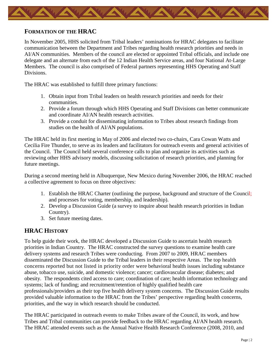

#### <span id="page-3-0"></span>**FORMATION OF THE HRAC**

In November 2005, HHS solicited from Tribal leaders' nominations for HRAC delegates to facilitate communication between the Department and Tribes regarding health research priorities and needs in AI/AN communities. Members of the council are elected or appointed Tribal officials, and include one delegate and an alternate from each of the 12 Indian Health Service areas, and four National At-Large Members. The council is also comprised of Federal partners representing HHS Operating and Staff Divisions.

The HRAC was established to fulfill three primary functions:

- 1. Obtain input from Tribal leaders on health research priorities and needs for their communities.
- 2. Provide a forum through which HHS Operating and Staff Divisions can better communicate and coordinate AI/AN health research activities.
- 3. Provide a conduit for disseminating information to Tribes about research findings from studies on the health of AI/AN populations.

The HRAC held its first meeting in May of 2006 and elected two co-chairs, Cara Cowan Watts and Cecilia Fire Thunder, to serve as its leaders and facilitators for outreach events and general activities of the Council. The Council held several conference calls to plan and organize its activities such as reviewing other HHS advisory models, discussing solicitation of research priorities, and planning for future meetings.

During a second meeting held in Albuquerque, New Mexico during November 2006, the HRAC reached a collective agreement to focus on three objectives:

- 1. Establish the HRAC Charter (outlining the purpose, background and structure of the Council; and processes for voting, membership, and leadership).
- 2. Develop a Discussion Guide (a survey to inquire about health research priorities in Indian Country).
- 3. Set future meeting dates.

### <span id="page-3-1"></span>**HRAC HISTORY**

To help guide their work, the HRAC developed a Discussion Guide to ascertain health research priorities in Indian Country. The HRAC constructed the survey questions to examine health care delivery systems and research Tribes were conducting. From 2007 to 2009, HRAC members disseminated the Discussion Guide to the Tribal leaders in their respective Areas. The top health concerns reported but not listed in priority order were behavioral health issues including substance abuse, tobacco use, suicide, and domestic violence; cancer; cardiovascular disease; diabetes; and obesity. The respondents cited access to care; coordination of care; health information technology and systems; lack of funding; and recruitment/retention of highly qualified health care professionals/providers as their top five health delivery system concerns. The Discussion Guide results provided valuable information to the HRAC from the Tribes' perspective regarding health concerns, priorities, and the way in which research should be conducted.

The HRAC participated in outreach events to make Tribes aware of the Council, its work, and how Tribes and Tribal communities can provide feedback to the HRAC regarding AI/AN health research. The HRAC attended events such as the Annual Native Health Research Conference (2008, 2010, and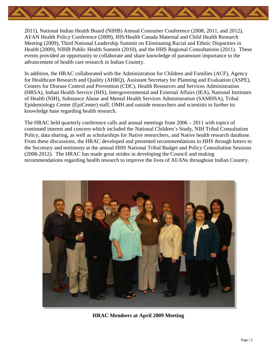

2011), National Indian Health Board (NIHB) Annual Consumer Conference (2008, 2011, and 2012), AI/AN Health Policy Conference (2009), IHS/Health Canada Maternal and Child Health Research Meeting (2009), Third National Leadership Summit on Eliminating Racial and Ethnic Disparities in Health (2009), NIHB Public Health Summit (2010), and the HHS Regional Consultations (2011). These events provided an opportunity to collaborate and share knowledge of paramount importance to the advancement of health care research in Indian Country.

In addition, the HRAC collaborated with the Administration for Children and Families (ACF), Agency for Healthcare Research and Quality (AHRQ), Assistant Secretary for Planning and Evaluation (ASPE), Centers for Disease Control and Prevention (CDC), Health Resources and Services Administration (HRSA), Indian Health Service (IHS), Intergovernmental and External Affairs (IEA), National Institutes of Health (NIH), Substance Abuse and Mental Health Services Administration (SAMHSA), Tribal Epidemiology Center (EpiCenter) staff, OMH and outside researchers and scientists to further its knowledge base regarding health research.

The HRAC held quarterly conference calls and annual meetings from 2006 – 2011 with topics of continued interest and concern which included the National Children's Study, NIH Tribal Consultation Policy, data sharing, as well as scholarships for Native researchers, and Native health research database. From these discussions, the HRAC developed and presented recommendations to HHS through letters to the Secretary and testimony at the annual HHS National Tribal Budget and Policy Consultation Sessions (2008-2012). The HRAC has made great strides in developing the Council and making recommendations regarding health research to improve the lives of AI/ANs throughout Indian Country.



**HRAC Members at April 2009 Meeting**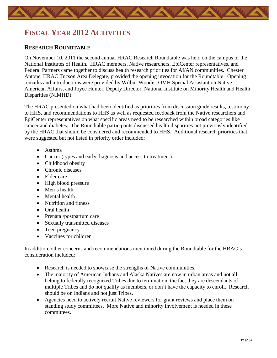# <span id="page-5-0"></span>**FISCAL YEAR 2012 ACTIVITIES**

#### <span id="page-5-1"></span>**RESEARCH ROUNDTABLE**

On November 10, 2011 the second annual HRAC Research Roundtable was held on the campus of the National Institutes of Health. HRAC members, Native researchers, EpiCenter representatives, and Federal Partners came together to discuss health research priorities for AI/AN communities. Chester Antone, HRAC Tucson Area Delegate, provided the opening invocation for the Roundtable. Opening remarks and introductions were provided by Wilbur Woodis, OMH Special Assistant on Native American Affairs, and Joyce Hunter, Deputy Director, National Institute on Minority Health and Health Disparities (NIMHD).

The HRAC presented on what had been identified as priorities from discussion guide results, testimony to HHS, and recommendations to HHS as well as requested feedback from the Native researchers and EpiCenter representatives on what specific areas need to be researched within broad categories like cancer and diabetes. The Roundtable participants discussed health disparities not previously identified by the HRAC that should be considered and recommended to HHS. Additional research priorities that were suggested but not listed in priority order included:

- Asthma
- Cancer (types and early diagnosis and access to treatment)
- Childhood obesity
- Chronic diseases
- Elder care
- High blood pressure
- Men's health
- Mental health
- Nutrition and fitness
- Oral health
- Prenatal/postpartum care
- Sexually transmitted diseases
- Teen pregnancy
- Vaccines for children

In addition, other concerns and recommendations mentioned during the Roundtable for the HRAC's consideration included:

- Research is needed to showcase the strengths of Native communities.
- The majority of American Indians and Alaska Natives are now in urban areas and not all belong to federally recognized Tribes due to termination, the fact they are descendants of multiple Tribes and do not qualify as members, or don't have the capacity to enroll. Research should be on Indians and not just Tribes.
- Agencies need to actively recruit Native reviewers for grant reviews and place them on standing study committees. More Native and minority involvement is needed in these committees.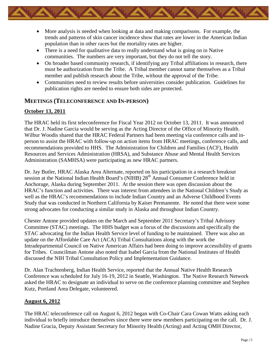- More analysis is needed when looking at data and making comparisons. For example, the trends and patterns of skin cancer incidence show that rates are lower in the American Indian population than in other races but the mortality rates are higher.
- There is a need for qualitative data to really understand what is going on in Native communities. The numbers are very important, but they do not tell the story.
- On broader based community research, if identifying any Tribal affiliations in research, there must be authorization from the Tribe. A Tribal member cannot name themselves as a Tribal member and publish research about the Tribe, without the approval of the Tribe.
- Communities need to review results before universities consider publication. Guidelines for publication rights are needed to ensure both sides are protected.

#### <span id="page-6-0"></span>**MEETINGS (TELECONFERENCE AND IN-PERSON)**

#### **October 13, 2011**

The HRAC held its first teleconference for Fiscal Year 2012 on October 13, 2011. It was announced that Dr. J. Nadine Garcia would be serving as the Acting Director of the Office of Minority Health. Wilbur Woodis shared that the HRAC Federal Partners had been meeting via conference calls and inperson to assist the HRAC with follow-up on action items from HRAC meetings, conference calls, and recommendations provided to HHS. The Administration for Children and Families (ACF), Health Resources and Services Administration (HRSA), and Substance Abuse and Mental Health Services Administration (SAMHSA) were participating as new HRAC partners.

Dr. Jay Butler, HRAC Alaska Area Alternate, reported on his participation in a research breakout session at the National Indian Health Board's (NIHB) 28<sup>th</sup> Annual Consumer Conference held in Anchorage, Alaska during September 2011. At the session there was open discussion about the HRAC's function and activities. There was interest from attendees in the National Children's Study as well as the HRAC's recommendations to include Indian Country and an Adverse Childhood Events Study that was conducted in Northern California by Kaiser Permanente. He noted that there were some strong advocates for conducting a similar study in Alaska and throughout Indian Country.

Chester Antone provided updates on the March and September 2011 Secretary's Tribal Advisory Committee (STAC) meetings. The HHS budget was a focus of the discussions and specifically the STAC advocating for the Indian Health Service level of funding to be maintained. There was also an update on the Affordable Care Act (ACA) Tribal Consultations along with the work the Intradepartmental Council on Native American Affairs had been doing to improve accessibility of grants for Tribes. Councilman Antone also noted that Isabel Garcia from the National Institutes of Health discussed the NIH Tribal Consultation Policy and Implementation Guidance.

Dr. Alan Trachtenberg, Indian Health Service, reported that the Annual Native Health Research Conference was scheduled for July 16-19, 2012 in Seattle, Washington. The Native Research Network asked the HRAC to designate an individual to serve on the conference planning committee and Stephen Kutz, Portland Area Delegate, volunteered.

#### **August 6, 2012**

The HRAC teleconference call on August 6, 2012 began with Co-Chair Cara Cowan Watts asking each individual to briefly introduce themselves since there were new members participating on the call. Dr. J. Nadine Gracia, Deputy Assistant Secretary for Minority Health (Acting) and Acting OMH Director,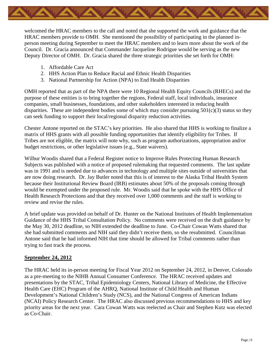

welcomed the HRAC members to the call and noted that she supported the work and guidance that the HRAC members provide to OMH. She mentioned the possibility of participating in the planned inperson meeting during September to meet the HRAC members and to learn more about the work of the Council. Dr. Gracia announced that Commander Jacqueline Rodrigue would be serving as the new Deputy Director of OMH. Dr. Gracia shared the three strategic priorities she set forth for OMH:

- 1. Affordable Care Act
- 2. HHS Action Plan to Reduce Racial and Ethnic Health Disparities
- 3. National Partnership for Action (NPA) to End Health Disparities

OMH reported that as part of the NPA there were 10 Regional Health Equity Councils (RHECs) and the purpose of these entities is to bring together the regions, Federal staff, local individuals, insurance companies, small businesses, foundations, and other stakeholders interested in reducing health disparities. These are independent bodies some of which may consider pursuing  $501(c)(3)$  status so they can seek funding to support their local/regional disparity reduction activities.

Chester Antone reported on the STAC's key priorities. He also shared that HHS is working to finalize a matrix of HHS grants with all possible funding opportunities that identify eligibility for Tribes. If Tribes are not eligible, the matrix will note why, such as program authorizations, appropriation and/or budget restrictions, or other legislative issues (e.g., State waivers).

Wilbur Woodis shared that a Federal Register notice to Improve Rules Protecting Human Research Subjects was published with a notice of proposed rulemaking that requested comments. The last update was in 1991 and is needed due to advances in technology and multiple sites outside of universities that are now doing research. Dr. Jay Butler noted that this is of interest to the Alaska Tribal Health System because their Institutional Review Board (IRB) estimates about 50% of the proposals coming through would be exempted under the proposed rule. Mr. Woodis said that he spoke with the HHS Office of Health Research Protections and that they received over 1,000 comments and the staff is working to review and revise the rules.

A brief update was provided on behalf of Dr. Hunter on the National Institutes of Health Implementation Guidance of the HHS Tribal Consultation Policy. No comments were received on the draft guidance by the May 30, 2012 deadline, so NIH extended the deadline to June. Co-Chair Cowan Watts shared that she had submitted comments and NIH said they didn't receive them, so she resubmitted. Councilman Antone said that he had informed NIH that time should be allowed for Tribal comments rather than trying to fast track the process.

#### **September 24, 2012**

The HRAC held its in-person meeting for Fiscal Year 2012 on September 24, 2012, in Denver, Colorado as a pre-meeting to the NIHB Annual Consumer Conference. The HRAC received updates and presentations by the STAC, Tribal Epidemiology Centers, National Library of Medicine, the Effective Health Care (EHC) Program of the AHRQ, National Institute of Child Health and Human Development's National Children's Study (NCS), and the National Congress of American Indians (NCAI) Policy Research Center. The HRAC also discussed previous recommendations to HHS and key priority areas for the next year. Cara Cowan Watts was reelected as Chair and Stephen Kutz was elected as Co-Chair.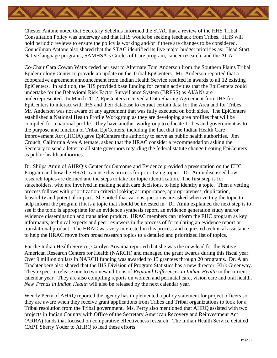Chester Antone noted that Secretary Sebelius informed the STAC that a review of the HHS Tribal Consultation Policy was underway and that HHS would be seeking feedback from Tribes. HHS will hold periodic reviews to ensure the policy is working and/or if there are changes to be considered. Councilman Antone also shared that the STAC identified its five major budget priorities as: Head Start, Native language programs, SAMHSA's Circles of Care program, cancer research, and the ACA.

Co-Chair Cara Cowan Watts ceded her seat to Alternate Tom Anderson from the Southern Plains Tribal Epidemiology Center to provide an update on the Tribal EpiCenters. Mr. Anderson reported that a cooperative agreement announcement from Indian Health Service resulted in awards to all 12 existing EpiCenters. In addition, the IHS provided base funding for certain activities that the EpiCenters could undertake for the Behavioral Risk Factor Surveillance System (BRFSS) as AI/ANs are underrepresented. In March 2012, EpiCenters received a Data Sharing Agreement from IHS for EpiCenters to interact with IHS and their database to extract certain data for the Area and for Tribes. Mr. Anderson was not aware of any agreement that was fully executed on both sides. The EpiCenters established a National Health Profile Workgroup as they are developing area profiles that will be compiled for a national profile. They have another workgroup to educate Tribes and government as to the purpose and function of Tribal EpiCenters, including the fact that the Indian Health Care Improvement Act (IHCIA) gave EpiCenters the authority to serve as public health authorities. Jim Crouch, California Area Alternate, asked that the HRAC consider a recommendation asking the Secretary to send a letter to all state governors regarding the federal statute change treating EpiCenters as public health authorities.

Dr. Shilpa Amin of AHRQ's Center for Outcome and Evidence provided a presentation on the EHC Program and how the HRAC can use this process for prioritizing topics. Dr. Amin discussed how research topics are defined and the steps to take for topic identification. The first step is for stakeholders, who are involved in making health care decisions, to help identify a topic. Then a vetting process follows with prioritization criteria looking at importance, appropriateness, duplication, feasibility and potential impact. She noted that various questions are asked when vetting the topic to help inform the program if it is a topic that should be invested in. Dr. Amin explained the next step is to see if the topic is appropriate for an evidence synthesis report, an evidence generation study and/or evidence dissemination and translation product. HRAC members can inform the EHC program as key informants, technical experts and peer reviewers in the process of formulating an evidence report or translational product. The HRAC was very interested in this process and requested technical assistance to help the HRAC move from broad research topics to a detailed and prioritized list of topics.

For the Indian Health Service, Carolyn Aoyama reported that she was the new lead for the Native American Research Centers for Health (NARCH) and managed the grant awards during this fiscal year. Over 9 million dollars in NARCH funding was awarded to 15 grantees through 20 programs. Dr. Alan Trachtenberg also shared that the IHS Division of Program Statistics has a new director, Kirk Greenway. They expect to release one to two new editions of *Regional Differences in Indian Health* in the current calendar year. They are also compiling reports on women and perinatal care, vision care and oral health. *New Trends in Indian Health* will also be released by the next calendar year.

Wendy Perry of AHRQ reported the agency has implemented a policy statement for project officers so they are aware when they receive grant applications from Tribes and Tribal organizations to look for a Tribal resolution from the Tribal government. Ms. Perry also mentioned that AHRQ assisted with two projects in Indian Country with Office of the Secretary American Recovery and Reinvestment Act (ARRA) funds that focused on comparative effectiveness research. The Indian Health Service detailed CAPT Sherry Yoder to AHRQ to lead these efforts.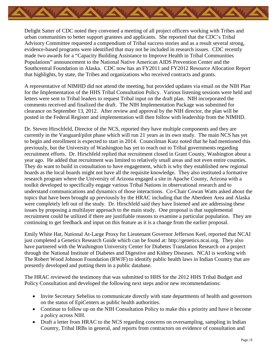

Delight Satter of CDC noted they convened a meeting of all project officers working with Tribes and urban communities to better support grantees and applicants. She reported that the CDC's Tribal Advisory Committee requested a compendium of Tribal success stories and as a result several strong, evidence-based programs were identified that may not be included in research issues. CDC recently made two awards for a "Capacity Building Assistance to Improve Health in Tribal Communities Populations" announcement to the National Native American AIDS Prevention Center and the Southcentral Foundation in Alaska. CDC now has an FY2011 and FY2012 Resource Allocation Report that highlights, by state, the Tribes and organizations who received contracts and grants.

A representative of NIMHD did not attend the meeting, but provided updates via email on the NIH Plan for the Implementation of the HHS Tribal Consultation Policy.Various listening sessions were held and letters were sent to Tribal leaders to request Tribal input on the draft plan. NIH incorporated the comments received and finalized the draft. The NIH Implementation Package was submitted for clearance on September 13, 2012. After review and approval by the NIH director, the plan will be posted in the Federal Register and implementation will then follow with leadership from the NIMHD.

Dr. Steven Hirschfeld, Director of the NCS, reported they have multiple components and they are currently in the Vanguard/pilot phase which will run 21 years as its own study. The main NCS has yet to begin and enrollment is expected to start in 2014. Councilman Kutz noted that he had mentioned this previously, but the University of Washington has yet to reach out to Tribal governments regarding recruitment efforts. Dr. Hirschfeld replied that recruitment closed in Grant County, Washington about a year ago. He added that recruitment was limited to relatively small areas and not even entire counties. They do want to build in consultation to have engagement, which is why they established new regional boards as the local boards might not have all the requisite knowledge. They also instituted a formative research program where the University of Arizona engaged a site in Apache County, Arizona with a toolkit developed to specifically engage various Tribal Nations in observational research and to understand communications and dynamics of those interactions. Co-Chair Cowan Watts asked about the topics that have been brought up previously by the HRAC including that the Aberdeen Area and Alaska were completely left out of the study. Dr. Hirschfeld said they have listened and are addressing these issues by proposing a multilayer approach to the main study. One proposal is that supplemental recruitment could be utilized if there are justifiable reasons to examine a particular population. They are continuing to get feedback and input on this feature as it is a change from the earlier proposal.

Emily White Hat, National At-Large Proxy for Lieutenant Governor Jefferson Keel, reported that NCAI just completed a Genetics Research Guide which can be found at: http://genetics.ncai.org. They also have partnered with the Washington University Center for Diabetes Translation Research on a project through the National Institute of Diabetes and Digestive and Kidney Diseases. NCAI is working with The Robert Wood Johnson Foundation (RWJF) to identify public health laws in Indian Country that are presently developed and putting them in a public database.

The HRAC reviewed the testimony that was submitted to HHS for the 2012 HHS Tribal Budget and Policy Consultation and developed the following next steps and/or new recommendations:

- Invite Secretary Sebelius to communicate directly with state departments of health and governors on the status of EpiCenters as public health authorities.
- Continue to follow up on the NIH Consultation Policy to make this a priority and have it become a policy across NIH.
- Draft a letter from HRAC to the NCS regarding concerns on oversampling, sampling in Indian Country, Tribal IRBs in general, and reports from contractors on evidence of consultation and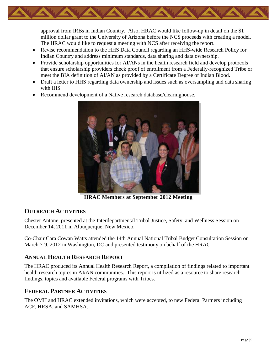approval from IRBs in Indian Country. Also, HRAC would like follow-up in detail on the \$1 million dollar grant to the University of Arizona before the NCS proceeds with creating a model. The HRAC would like to request a meeting with NCS after receiving the report.

- Revise recommendation to the HHS Data Council regarding an HHS-wide Research Policy for Indian Country and address minimum standards, data sharing and data ownership.
- Provide scholarship opportunities for AI/ANs in the health research field and develop protocols that ensure scholarship providers check proof of enrollment from a Federally-recognized Tribe or meet the BIA definition of AI/AN as provided by a Certificate Degree of Indian Blood.
- Draft a letter to HHS regarding data ownership and issues such as oversampling and data sharing with IHS.
- Recommend development of a Native research database/clearinghouse.



**HRAC Members at September 2012 Meeting**

#### <span id="page-10-0"></span>**OUTREACH ACTIVITIES**

Chester Antone, presented at the Interdepartmental Tribal Justice, Safety, and Wellness Session on December 14, 2011 in Albuquerque, New Mexico.

Co-Chair Cara Cowan Watts attended the 14th Annual National Tribal Budget Consultation Session on March 7-9, 2012 in Washington, DC and presented testimony on behalf of the HRAC.

### <span id="page-10-1"></span>**ANNUAL HEALTH RESEARCH REPORT**

The HRAC produced its Annual Health Research Report, a compilation of findings related to important health research topics in AI/AN communities. This report is utilized as a resource to share research findings, topics and available Federal programs with Tribes.

### <span id="page-10-2"></span>**FEDERAL PARTNER ACTIVITIES**

The OMH and HRAC extended invitations, which were accepted, to new Federal Partners including ACF, HRSA, and SAMHSA.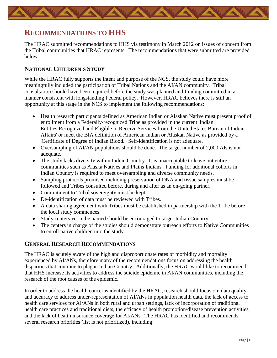# <span id="page-11-0"></span>**RECOMMENDATIONS TO HHS**

The HRAC submitted recommendations to HHS via testimony in March 2012 on issues of concern from the Tribal communities that HRAC represents. The recommendations that were submitted are provided below:

#### <span id="page-11-1"></span>**NATIONAL CHILDREN'S STUDY**

While the HRAC fully supports the intent and purpose of the NCS, the study could have more meaningfully included the participation of Tribal Nations and the AI/AN community. Tribal consultation should have been required before the study was planned and funding committed in a manner consistent with longstanding Federal policy. However, HRAC believes there is still an opportunity at this stage in the NCS to implement the following recommendations:

- Health research participants defined as American Indian or Alaskan Native must present proof of enrollment from a Federally-recognized Tribe as provided in the current 'Indian Entities Recognized and Eligible to Receive Services from the United States Bureau of Indian Affairs' or meet the BIA definition of American Indian or Alaskan Native as provided by a 'Certificate of Degree of Indian Blood.' Self-identification is not adequate.
- Oversampling of AI/AN populations should be done. The target number of 2,000 AIs is not adequate.
- The study lacks diversity within Indian Country. It is unacceptable to leave out entire communities such as Alaska Natives and Plains Indians. Funding for additional cohorts in Indian Country is required to meet oversampling and diverse community needs.
- Sampling protocols promised including preservation of DNA and tissue samples must be followed and Tribes consulted before, during and after as an on-going partner.
- Commitment to Tribal sovereignty must be kept.
- De-identification of data must be reviewed with Tribes.
- A data sharing agreement with Tribes must be established in partnership with the Tribe before the local study commences.
- Study centers yet to be named should be encouraged to target Indian Country.
- The centers in charge of the studies should demonstrate outreach efforts to Native Communities to enroll native children into the study.

#### <span id="page-11-2"></span>**GENERAL RESEARCH RECOMMENDATIONS**

The HRAC is acutely aware of the high and disproportionate rates of morbidity and mortality experienced by AI/ANs, therefore many of the recommendations focus on addressing the health disparities that continue to plague Indian Country. Additionally, the HRAC would like to recommend that HHS increase its activities to address the suicide epidemic in AI/AN communities, including the research of the root causes of the epidemic.

In order to address the health concerns identified by the HRAC, research should focus on: data quality and accuracy to address under-representation of AI/ANs in population health data, the lack of access to health care services for AI/ANs in both rural and urban settings, lack of incorporation of traditional health care practices and traditional diets, the efficacy of health promotion/disease prevention activities, and the lack of health insurance coverage for AI/ANs. The HRAC has identified and recommends several research priorities (list is not prioritized), including: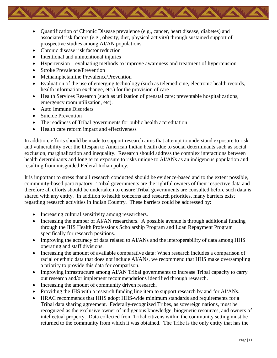- Quantification of Chronic Disease prevalence (e.g., cancer, heart disease, diabetes) and associated risk factors (e.g., obesity, diet, physical activity) through sustained support of prospective studies among AI/AN populations
- Chronic disease risk factor reduction
- Intentional and unintentional injuries
- Hypertension evaluating methods to improve awareness and treatment of hypertension
- Stroke Prevalence/Prevention
- Methamphetamine Prevalence/Prevention
- Evaluation of the use of emerging technology (such as telemedicine, electronic health records, health information exchange, etc.) for the provision of care
- Health Services Research (such as utilization of prenatal care; preventable hospitalizations, emergency room utilization, etc).
- Auto Immune Disorders
- Suicide Prevention
- The readiness of Tribal governments for public health accreditation
- Health care reform impact and effectiveness

In addition, efforts should be made to support research aims that attempt to understand exposure to risk and vulnerability over the lifespan to American Indian health due to social determinants such as social exclusion, marginalization and inequality. Research should address the complex interactions between health determinants and long term exposure to risks unique to AI/ANs as an indigenous population and resulting from misguided Federal Indian policy.

It is important to stress that all research conducted should be evidence-based and to the extent possible, community-based participatory. Tribal governments are the rightful owners of their respective data and therefore all efforts should be undertaken to ensure Tribal governments are consulted before such data is shared with any entity. In addition to health concerns and research priorities, many barriers exist regarding research activities in Indian Country. These barriers could be addressed by:

- Increasing cultural sensitivity among researchers.
- Increasing the number of AI/AN researchers. A possible avenue is through additional funding through the IHS Health Professions Scholarship Program and Loan Repayment Program specifically for research positions.
- Improving the accuracy of data related to AI/ANs and the interoperability of data among HHS operating and staff divisions.
- Increasing the amount of available comparative data: When research includes a comparison of racial or ethnic data that does not include AI/ANs, we recommend that HHS make oversampling a priority to provide this data for comparison.
- Improving infrastructure among AI/AN Tribal governments to increase Tribal capacity to carry out research and/or implement recommendations identified through research.
- Increasing the amount of community driven research.
- Providing the IHS with a research funding line item to support research by and for AI/ANs.
- HRAC recommends that HHS adopt HHS-wide minimum standards and requirements for a Tribal data sharing agreement. Federally-recognized Tribes, as sovereign nations, must be recognized as the exclusive owner of indigenous knowledge, biogenetic resources, and owners of intellectual property. Data collected from Tribal citizens within the community setting must be returned to the community from which it was obtained. The Tribe is the only entity that has the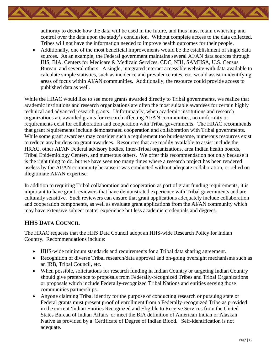authority to decide how the data will be used in the future, and thus must retain ownership and control over the data upon the study's conclusion. Without complete access to the data collected, Tribes will not have the information needed to improve health outcomes for their people.

• Additionally, one of the most beneficial improvements would be the establishment of single data sources. As an example, the Federal government maintains several AI/AN data sources through IHS, BIA, Centers for Medicare & Medicaid Services, CDC, NIH, SAMHSA, U.S. Census Bureau, and several others. A single, integrated internet accessible website with data available to calculate simple statistics, such as incidence and prevalence rates, etc. would assist in identifying areas of focus within AI/AN communities. Additionally, the resource could provide access to published data as well.

While the HRAC would like to see more grants awarded directly to Tribal governments, we realize that academic institutions and research organizations are often the most suitable awardees for certain highly technical and advanced research grants. Unfortunately, when academic institutions and research organizations are awarded grants for research affecting AI/AN communities, no uniformity or requirements exist for collaboration and cooperation with Tribal governments. The HRAC recommends that grant requirements include demonstrated cooperation and collaboration with Tribal governments. While some grant awardees may consider such a requirement too burdensome, numerous resources exist to reduce any burdens on grant awardees. Resources that are readily available to assist include the HRAC, other AI/AN Federal advisory bodies, Inter-Tribal organizations, area Indian health boards, Tribal Epidemiology Centers, and numerous others. We offer this recommendation not only because it is the right thing to do, but we have seen too many times where a research project has been rendered useless by the AI/AN community because it was conducted without adequate collaboration, or relied on illegitimate AI/AN expertise.

In addition to requiring Tribal collaboration and cooperation as part of grant funding requirements, it is important to have grant reviewers that have demonstrated experience with Tribal governments and are culturally sensitive. Such reviewers can ensure that grant applications adequately include collaboration and cooperation components, as well as evaluate grant applications from the AI/AN community which may have extensive subject matter experience but less academic credentials and degrees.

#### <span id="page-13-0"></span>**HHS DATA COUNCIL**

The HRAC requests that the HHS Data Council adopt an HHS-wide Research Policy for Indian Country. Recommendations include:

- HHS-wide minimum standards and requirements for a Tribal data sharing agreement.
- Recognition of diverse Tribal research/data approval and on-going oversight mechanisms such as an IRB, Tribal Council, etc.
- When possible, solicitations for research funding in Indian Country or targeting Indian Country should give preference to proposals from Federally-recognized Tribes and Tribal Organizations or proposals which include Federally-recognized Tribal Nations and entities serving those communities partnerships.
- Anyone claiming Tribal identity for the purpose of conducting research or pursuing state or Federal grants must present proof of enrollment from a Federally-recognized Tribe as provided in the current 'Indian Entities Recognized and Eligible to Receive Services from the United States Bureau of Indian Affairs' or meet the BIA definition of American Indian or Alaskan Native as provided by a 'Certificate of Degree of Indian Blood.' Self-identification is not adequate.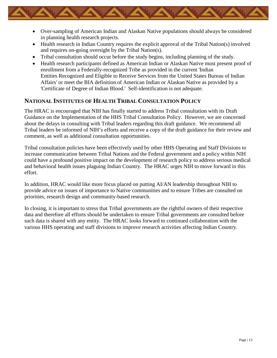- Over-sampling of American Indian and Alaskan Native populations should always be considered in planning health research projects.
- Health research in Indian Country requires the explicit approval of the Tribal Nation(s) involved and requires on-going oversight by the Tribal Nation(s).
- Tribal consultation should occur before the study begins, including planning of the study.
- Health research participants defined as American Indian or Alaskan Native must present proof of enrollment from a Federally-recognized Tribe as provided in the current 'Indian Entities Recognized and Eligible to Receive Services from the United States Bureau of Indian Affairs' or meet the BIA definition of American Indian or Alaskan Native as provided by a 'Certificate of Degree of Indian Blood.' Self-identification is not adequate.

#### <span id="page-14-0"></span>**NATIONAL INSTITUTES OF HEALTH TRIBAL CONSULTATION POLICY**

The HRAC is encouraged that NIH has finally started to address Tribal consultation with its Draft Guidance on the Implementation of the HHS Tribal Consultation Policy. However, we are concerned about the delays in consulting with Tribal leaders regarding this draft guidance. We recommend all Tribal leaders be informed of NIH's efforts and receive a copy of the draft guidance for their review and comment, as well as additional consultation opportunities.

Tribal consultation policies have been effectively used by other HHS Operating and Staff Divisions to increase communication between Tribal Nations and the Federal government and a policy within NIH could have a profound positive impact on the development of research policy to address serious medical and behavioral health issues plaguing Indian Country. The HRAC urges NIH to move forward in this effort.

In addition, HRAC would like more focus placed on putting AI/AN leadership throughout NIH to provide advice on issues of importance to Native communities and to ensure Tribes are consulted on priorities, research design and community-based research.

In closing, it is important to stress that Tribal governments are the rightful owners of their respective data and therefore all efforts should be undertaken to ensure Tribal governments are consulted before such data is shared with any entity. The HRAC looks forward to continued collaboration with the various HHS operating and staff divisions to improve research activities affecting Indian Country.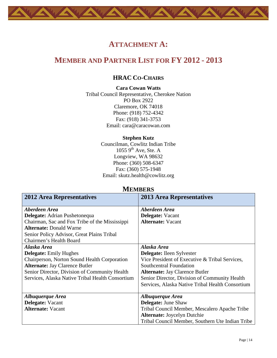# **ATTACHMENT A:**

# <span id="page-15-2"></span><span id="page-15-1"></span><span id="page-15-0"></span>**MEMBER AND PARTNER LIST FOR FY 2012 - 2013**

#### **HRAC CO-CHAIRS**

**Cara Cowan Watts** Tribal Council Representative, Cherokee Nation PO Box 2922 Claremore, OK 74018 Phone: (918) 752-4342 Fax: (918) 341-3753 Email: [cara@caracowan.com](mailto:cara@caracowan.com)

#### **Stephen Kutz**

Councilman, Cowlitz Indian Tribe  $1055\,9^{th}$  Ave, Ste. A Longview, WA 98632 Phone: (360) 508-6347 Fax: (360) 575-1948 Email: skutz.health@cowlitz.org

<span id="page-15-3"></span>

| IVILIVIDERS                                      |                                                  |  |
|--------------------------------------------------|--------------------------------------------------|--|
| <b>2012 Area Representatives</b>                 | <b>2013 Area Representatives</b>                 |  |
|                                                  |                                                  |  |
| Aberdeen Area                                    | Aberdeen Area                                    |  |
| Delegate: Adrian Pushetonequa                    | Delegate: Vacant                                 |  |
| Chairman, Sac and Fox Tribe of the Mississippi   | <b>Alternate: Vacant</b>                         |  |
| <b>Alternate: Donald Warne</b>                   |                                                  |  |
| Senior Policy Advisor, Great Plains Tribal       |                                                  |  |
| Chairmen's Health Board                          |                                                  |  |
| Alaska Area                                      | Alaska Area                                      |  |
| <b>Delegate:</b> Emily Hughes                    | <b>Delegate:</b> Ileen Sylvester                 |  |
| Chairperson, Norton Sound Health Corporation     | Vice President of Executive & Tribal Services,   |  |
| <b>Alternate: Jay Clarence Butler</b>            | Southcentral Foundation                          |  |
| Senior Director, Division of Community Health    | <b>Alternate: Jay Clarence Butler</b>            |  |
| Services, Alaska Native Tribal Health Consortium | Senior Director, Division of Community Health    |  |
|                                                  | Services, Alaska Native Tribal Health Consortium |  |
|                                                  |                                                  |  |
| Albuquerque Area                                 | Albuquerque Area                                 |  |
| <b>Delegate:</b> Vacant                          | <b>Delegate: June Shaw</b>                       |  |
| <b>Alternate: Vacant</b>                         | Tribal Council Member, Mescalero Apache Tribe    |  |
|                                                  | <b>Alternate: Joycelyn Dutchie</b>               |  |
|                                                  | Tribal Council Member, Southern Ute Indian Tribe |  |

#### **MEMBERS**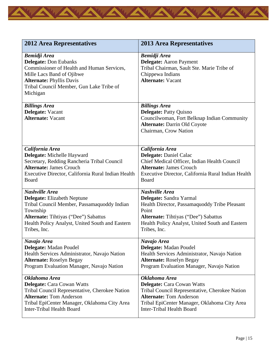

| <b>2012 Area Representatives</b>                                                                                                                                                                                          | <b>2013 Area Representatives</b>                                                                                                                              |
|---------------------------------------------------------------------------------------------------------------------------------------------------------------------------------------------------------------------------|---------------------------------------------------------------------------------------------------------------------------------------------------------------|
| <b>Bemidji Area</b><br><b>Delegate: Don Eubanks</b><br>Commissioner of Health and Human Services,<br>Mille Lacs Band of Ojibwe<br><b>Alternate: Phyllis Davis</b><br>Tribal Council Member, Gun Lake Tribe of<br>Michigan | <b>Bemidji Area</b><br><b>Delegate:</b> Aaron Payment<br>Tribal Chairman, Sault Ste. Marie Tribe of<br>Chippewa Indians<br><b>Alternate: Vacant</b>           |
| <b>Billings Area</b><br>Delegate: Vacant<br><b>Alternate: Vacant</b>                                                                                                                                                      | <b>Billings Area</b><br>Delegate: Patty Quisno<br>Councilwoman, Fort Belknap Indian Community<br><b>Alternate: Darrin Old Coyote</b><br>Chairman, Crow Nation |
| California Area                                                                                                                                                                                                           | California Area                                                                                                                                               |
| Delegate: Michelle Hayward                                                                                                                                                                                                | <b>Delegate: Daniel Calac</b>                                                                                                                                 |
| Secretary, Redding Rancheria Tribal Council                                                                                                                                                                               | Chief Medical Officer, Indian Health Council                                                                                                                  |
| <b>Alternate: James Crouch</b>                                                                                                                                                                                            | <b>Alternate: James Crouch</b>                                                                                                                                |
| Executive Director, California Rural Indian Health                                                                                                                                                                        | Executive Director, California Rural Indian Health                                                                                                            |
| Board                                                                                                                                                                                                                     | Board                                                                                                                                                         |
| <b>Nashville Area</b>                                                                                                                                                                                                     | Nashville Area                                                                                                                                                |
| <b>Delegate:</b> Elizabeth Neptune                                                                                                                                                                                        | Delegate: Sandra Yarmal                                                                                                                                       |
| Tribal Council Member, Passamaquoddy Indian                                                                                                                                                                               | Health Director, Passamaquoddy Tribe Pleasant                                                                                                                 |
| Township                                                                                                                                                                                                                  | Point                                                                                                                                                         |
| <b>Alternate:</b> Tihtiyas ("Dee") Sabattus                                                                                                                                                                               | <b>Alternate:</b> Tihtiyas ("Dee") Sabattus                                                                                                                   |
| Health Policy Analyst, United South and Eastern                                                                                                                                                                           | Health Policy Analyst, United South and Eastern                                                                                                               |
| Tribes, Inc.                                                                                                                                                                                                              | Tribes, Inc.                                                                                                                                                  |
| Navajo Area                                                                                                                                                                                                               | Navajo Area                                                                                                                                                   |
| Delegate: Madan Poudel                                                                                                                                                                                                    | Delegate: Madan Poudel                                                                                                                                        |
| Health Services Administrator, Navajo Nation                                                                                                                                                                              | Health Services Administrator, Navajo Nation                                                                                                                  |
| <b>Alternate: Roselyn Begay</b>                                                                                                                                                                                           | <b>Alternate: Roselyn Begay</b>                                                                                                                               |
| Program Evaluation Manager, Navajo Nation                                                                                                                                                                                 | Program Evaluation Manager, Navajo Nation                                                                                                                     |
| Oklahoma Area                                                                                                                                                                                                             | Oklahoma Area                                                                                                                                                 |
| <b>Delegate: Cara Cowan Watts</b>                                                                                                                                                                                         | Delegate: Cara Cowan Watts                                                                                                                                    |
| Tribal Council Representative, Cherokee Nation                                                                                                                                                                            | Tribal Council Representative, Cherokee Nation                                                                                                                |
| <b>Alternate: Tom Anderson</b>                                                                                                                                                                                            | <b>Alternate: Tom Anderson</b>                                                                                                                                |
| Tribal EpiCenter Manager, Oklahoma City Area                                                                                                                                                                              | Tribal EpiCenter Manager, Oklahoma City Area                                                                                                                  |
| <b>Inter-Tribal Health Board</b>                                                                                                                                                                                          | Inter-Tribal Health Board                                                                                                                                     |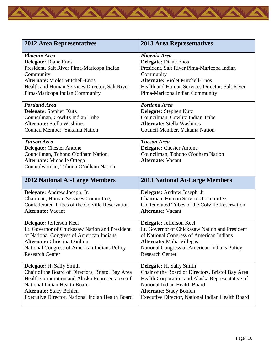| <b>2012 Area Representatives</b>                                                                                                                                                                                                                                                                                                                                                                            | <b>2013 Area Representatives</b>                                                   |
|-------------------------------------------------------------------------------------------------------------------------------------------------------------------------------------------------------------------------------------------------------------------------------------------------------------------------------------------------------------------------------------------------------------|------------------------------------------------------------------------------------|
| <b>Phoenix Area</b>                                                                                                                                                                                                                                                                                                                                                                                         | <b>Phoenix Area</b>                                                                |
| <b>Delegate: Diane Enos</b>                                                                                                                                                                                                                                                                                                                                                                                 | <b>Delegate: Diane Enos</b>                                                        |
| President, Salt River Pima-Maricopa Indian                                                                                                                                                                                                                                                                                                                                                                  | President, Salt River Pima-Maricopa Indian                                         |
| Community                                                                                                                                                                                                                                                                                                                                                                                                   | Community                                                                          |
| <b>Alternate: Violet Mitchell-Enos</b>                                                                                                                                                                                                                                                                                                                                                                      | <b>Alternate: Violet Mitchell-Enos</b>                                             |
| Health and Human Services Director, Salt River                                                                                                                                                                                                                                                                                                                                                              | Health and Human Services Director, Salt River                                     |
| Pima-Maricopa Indian Community                                                                                                                                                                                                                                                                                                                                                                              | Pima-Maricopa Indian Community                                                     |
| <b>Portland Area</b>                                                                                                                                                                                                                                                                                                                                                                                        | <b>Portland Area</b>                                                               |
| Delegate: Stephen Kutz                                                                                                                                                                                                                                                                                                                                                                                      | Delegate: Stephen Kutz                                                             |
| Councilman, Cowlitz Indian Tribe                                                                                                                                                                                                                                                                                                                                                                            | Councilman, Cowlitz Indian Tribe                                                   |
| <b>Alternate: Stella Washines</b>                                                                                                                                                                                                                                                                                                                                                                           | <b>Alternate: Stella Washines</b>                                                  |
| Council Member, Yakama Nation                                                                                                                                                                                                                                                                                                                                                                               | Council Member, Yakama Nation                                                      |
| <b>Tucson Area</b>                                                                                                                                                                                                                                                                                                                                                                                          | <b>Tucson Area</b>                                                                 |
| <b>Delegate:</b> Chester Antone                                                                                                                                                                                                                                                                                                                                                                             | <b>Delegate:</b> Chester Antone                                                    |
| Councilman, Tohono O'odham Nation                                                                                                                                                                                                                                                                                                                                                                           | Councilman, Tohono O'odham Nation                                                  |
| <b>Alternate: Michelle Ortega</b>                                                                                                                                                                                                                                                                                                                                                                           | <b>Alternate: Vacant</b>                                                           |
| Councilwoman, Tohono O'odham Nation                                                                                                                                                                                                                                                                                                                                                                         |                                                                                    |
| <b>2012 National At-Large Members</b>                                                                                                                                                                                                                                                                                                                                                                       | <b>2013 National At-Large Members</b>                                              |
| Delegate: Andrew Joseph, Jr.                                                                                                                                                                                                                                                                                                                                                                                | Delegate: Andrew Joseph, Jr.                                                       |
| Chairman, Human Services Committee,                                                                                                                                                                                                                                                                                                                                                                         | Chairman, Human Services Committee,                                                |
| Confederated Tribes of the Colville Reservation                                                                                                                                                                                                                                                                                                                                                             | Confederated Tribes of the Colville Reservation                                    |
| <b>Alternate: Vacant</b>                                                                                                                                                                                                                                                                                                                                                                                    | <b>Alternate: Vacant</b>                                                           |
|                                                                                                                                                                                                                                                                                                                                                                                                             | Delegate: Jefferson Keel                                                           |
|                                                                                                                                                                                                                                                                                                                                                                                                             |                                                                                    |
|                                                                                                                                                                                                                                                                                                                                                                                                             | Lt. Governor of Chickasaw Nation and President                                     |
|                                                                                                                                                                                                                                                                                                                                                                                                             | of National Congress of American Indians                                           |
|                                                                                                                                                                                                                                                                                                                                                                                                             | <b>Alternate:</b> Malia Villegas                                                   |
|                                                                                                                                                                                                                                                                                                                                                                                                             | National Congress of American Indians Policy                                       |
|                                                                                                                                                                                                                                                                                                                                                                                                             | <b>Research Center</b>                                                             |
|                                                                                                                                                                                                                                                                                                                                                                                                             | Delegate: H. Sally Smith                                                           |
|                                                                                                                                                                                                                                                                                                                                                                                                             | Chair of the Board of Directors, Bristol Bay Area                                  |
|                                                                                                                                                                                                                                                                                                                                                                                                             | Health Corporation and Alaska Representative of                                    |
| Delegate: Jefferson Keel<br>Lt. Governor of Chickasaw Nation and President<br>of National Congress of American Indians<br><b>Alternate: Christina Daulton</b><br>National Congress of American Indians Policy<br><b>Research Center</b><br>Delegate: H. Sally Smith<br>Chair of the Board of Directors, Bristol Bay Area<br>Health Corporation and Alaska Representative of<br>National Indian Health Board | National Indian Health Board                                                       |
| <b>Alternate: Stacy Bohlen</b><br>Executive Director, National Indian Health Board                                                                                                                                                                                                                                                                                                                          | <b>Alternate: Stacy Bohlen</b><br>Executive Director, National Indian Health Board |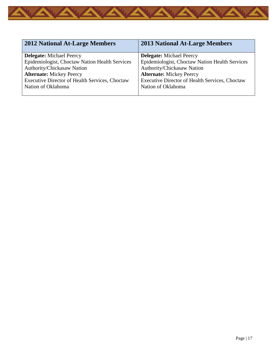

| <b>2012 National At-Large Members</b>          | <b>2013 National At-Large Members</b>          |
|------------------------------------------------|------------------------------------------------|
| <b>Delegate:</b> Michael Peercy                | <b>Delegate:</b> Michael Peercy                |
| Epidemiologist, Choctaw Nation Health Services | Epidemiologist, Choctaw Nation Health Services |
| Authority/Chickasaw Nation                     | Authority/Chickasaw Nation                     |
| <b>Alternate: Mickey Peercy</b>                | <b>Alternate:</b> Mickey Peercy                |
| Executive Director of Health Services, Choctaw | Executive Director of Health Services, Choctaw |
| Nation of Oklahoma                             | Nation of Oklahoma                             |
|                                                |                                                |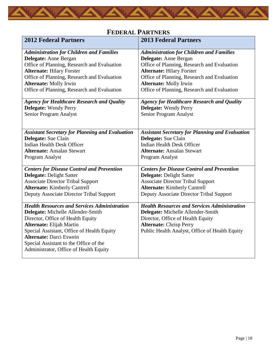

# **FEDERAL PARTNERS**

<span id="page-19-0"></span>

| <b>2012 Federal Partners</b>                                                     | <b>2013 Federal Partners</b>                           |
|----------------------------------------------------------------------------------|--------------------------------------------------------|
| <b>Administration for Children and Families</b>                                  | <b>Administration for Children and Families</b>        |
| Delegate: Anne Bergan                                                            | Delegate: Anne Bergan                                  |
| Office of Planning, Research and Evaluation                                      | Office of Planning, Research and Evaluation            |
| <b>Alternate: Hilary Forster</b>                                                 | <b>Alternate: Hilary Forster</b>                       |
| Office of Planning, Research and Evaluation                                      | Office of Planning, Research and Evaluation            |
| <b>Alternate: Molly Irwin</b>                                                    | <b>Alternate: Molly Irwin</b>                          |
| Office of Planning, Research and Evaluation                                      | Office of Planning, Research and Evaluation            |
| <b>Agency for Healthcare Research and Quality</b>                                | <b>Agency for Healthcare Research and Quality</b>      |
| <b>Delegate:</b> Wendy Perry                                                     | <b>Delegate:</b> Wendy Perry                           |
| Senior Program Analyst                                                           | Senior Program Analyst                                 |
|                                                                                  |                                                        |
| <b>Assistant Secretary for Planning and Evaluation</b>                           | <b>Assistant Secretary for Planning and Evaluation</b> |
| Delegate: Sue Clain                                                              | Delegate: Sue Clain                                    |
| <b>Indian Health Desk Officer</b>                                                | <b>Indian Health Desk Officer</b>                      |
| <b>Alternate: Ansalan Stewart</b>                                                | <b>Alternate: Ansalan Stewart</b>                      |
| Program Analyst                                                                  | Program Analyst                                        |
| <b>Centers for Disease Control and Prevention</b>                                | <b>Centers for Disease Control and Prevention</b>      |
| Delegate: Delight Satter                                                         | Delegate: Delight Satter                               |
| <b>Associate Director Tribal Support</b>                                         | <b>Associate Director Tribal Support</b>               |
| <b>Alternate:</b> Kimberly Cantrell                                              | <b>Alternate:</b> Kimberly Cantrell                    |
| Deputy Associate Director Tribal Support                                         | Deputy Associate Director Tribal Support               |
| <b>Health Resources and Services Administration</b>                              | <b>Health Resources and Services Administration</b>    |
| Delegate: Michelle Allender-Smith                                                | Delegate: Michelle Allender-Smith                      |
| Director, Office of Health Equity                                                | Director, Office of Health Equity                      |
| <b>Alternate: Elijah Martin</b>                                                  | <b>Alternate: Chrisp Perry</b>                         |
| Special Assistant, Office of Health Equity                                       | Public Health Analyst, Office of Health Equity         |
| <b>Alternate: Darci Eswein</b>                                                   |                                                        |
| Special Assistant to the Office of the<br>Administrator, Office of Health Equity |                                                        |
|                                                                                  |                                                        |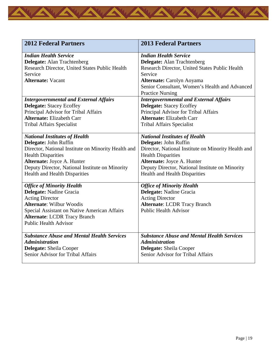

| <b>2012 Federal Partners</b>                                                                                                                                                                                                                    | <b>2013 Federal Partners</b>                                                                                                                                                                                                              |
|-------------------------------------------------------------------------------------------------------------------------------------------------------------------------------------------------------------------------------------------------|-------------------------------------------------------------------------------------------------------------------------------------------------------------------------------------------------------------------------------------------|
| <b>Indian Health Service</b><br><b>Delegate:</b> Alan Trachtenberg<br>Research Director, United States Public Health<br>Service<br><b>Alternate: Vacant</b>                                                                                     | <b>Indian Health Service</b><br><b>Delegate:</b> Alan Trachtenberg<br>Research Director, United States Public Health<br>Service<br>Alternate: Carolyn Aoyama<br>Senior Consultant, Women's Health and Advanced<br><b>Practice Nursing</b> |
| <b>Intergovernmental and External Affairs</b>                                                                                                                                                                                                   | <b>Intergovernmental and External Affairs</b>                                                                                                                                                                                             |
| <b>Delegate:</b> Stacey Ecoffey                                                                                                                                                                                                                 | <b>Delegate:</b> Stacey Ecoffey                                                                                                                                                                                                           |
| Principal Advisor for Tribal Affairs                                                                                                                                                                                                            | Principal Advisor for Tribal Affairs                                                                                                                                                                                                      |
| <b>Alternate: Elizabeth Carr</b>                                                                                                                                                                                                                | <b>Alternate: Elizabeth Carr</b>                                                                                                                                                                                                          |
| Tribal Affairs Specialist                                                                                                                                                                                                                       | <b>Tribal Affairs Specialist</b>                                                                                                                                                                                                          |
| <b>National Institutes of Health</b>                                                                                                                                                                                                            | <b>National Institutes of Health</b>                                                                                                                                                                                                      |
| Delegate: John Ruffin                                                                                                                                                                                                                           | Delegate: John Ruffin                                                                                                                                                                                                                     |
| Director, National Institute on Minority Health and                                                                                                                                                                                             | Director, National Institute on Minority Health and                                                                                                                                                                                       |
| <b>Health Disparities</b>                                                                                                                                                                                                                       | <b>Health Disparities</b>                                                                                                                                                                                                                 |
| Alternate: Joyce A. Hunter                                                                                                                                                                                                                      | Alternate: Joyce A. Hunter                                                                                                                                                                                                                |
| Deputy Director, National Institute on Minority                                                                                                                                                                                                 | Deputy Director, National Institute on Minority                                                                                                                                                                                           |
| <b>Health and Health Disparities</b>                                                                                                                                                                                                            | Health and Health Disparities                                                                                                                                                                                                             |
| <b>Office of Minority Health</b><br>Delegate: Nadine Gracia<br><b>Acting Director</b><br><b>Alternate: Wilbur Woodis</b><br>Special Assistant on Native American Affairs<br><b>Alternate: LCDR Tracy Branch</b><br><b>Public Health Advisor</b> | <b>Office of Minority Health</b><br>Delegate: Nadine Gracia<br><b>Acting Director</b><br><b>Alternate: LCDR Tracy Branch</b><br><b>Public Health Advisor</b>                                                                              |
| <b>Substance Abuse and Mental Health Services</b>                                                                                                                                                                                               | <b>Substance Abuse and Mental Health Services</b>                                                                                                                                                                                         |
| <b>Administration</b>                                                                                                                                                                                                                           | <b>Administration</b>                                                                                                                                                                                                                     |
| Delegate: Sheila Cooper                                                                                                                                                                                                                         | Delegate: Sheila Cooper                                                                                                                                                                                                                   |
| Senior Advisor for Tribal Affairs                                                                                                                                                                                                               | Senior Advisor for Tribal Affairs                                                                                                                                                                                                         |